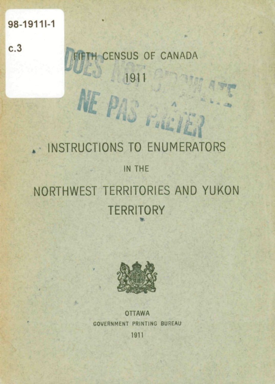#### 98-1911-1

 $c.3$ 

# CENSUS OF CANADA 1911 NE PAS FALL

## . INSTRUCTIONS TO ENUMERATORS IN THE NORTHWEST TERRITORIES AND YUKON **TERRITORY**



**OTTAWA** GOVERNMENT PRINTING BUREAU

1911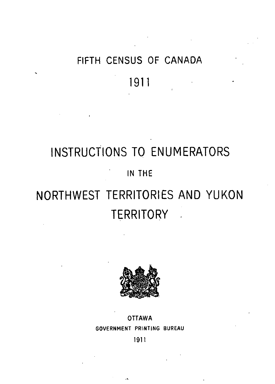## FIFTH CENSUS OF CANADA

### **1911**

## **INSTRUCTIONS TO ENUMERATORS**  m THE **NORTHWEST TERRITORIES AND YUKON**

### **TERRITORY**



#### **OTTAWA GOVERNMENT PRINTING BUREAU**

**1911** 

 $\ddot{\phantom{a}}$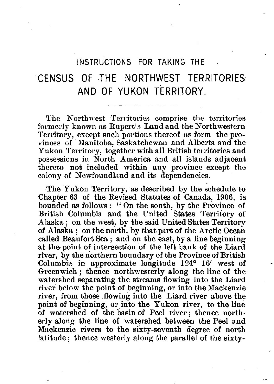#### INSTRUCTIONS FOR TAKING THE

### CENSUS OF THE NORTHWEST TERRITORIES AND OF YUKON TERRITORY.

The Northwest Territories comprise the territories formerly known as Rupert's Land and the Northwestern Territory, except such portions thereof as form the provinces of Manitoba, Saskatchewan and Alberta and the Yukon Territory, together with all British territories and possessions in North America and ail islands adjacent thereto not included within any province except the colony of Newfoundland and its dependencies.

The Yukon Territory, as described by the schedule to Chapter 63 of the Revised Statutes of Canada, 1906, is bounded as follows : " On the south, by the Province of British Columbia and the United States Territory of Alaska ; on the west, by the said United States Territory of Alaska ; on the north. by that part of the Arctic Océan called Beaufort Sea ; and on the east, by a line beginning at the point of intersection of the left bank of the Liard river, by the northern boundary of the Province of British Columbia in approximate longitude 124° 16' west of Greenwich ; thence northwesterly along the line of the watershed separating the streams flowing into the Liard river below the point of beginning, or into the Mackenzie river, from those .flowing into the Liard river above the point of beginning, or into the Yukon river, to the line of watershed of the basin of Peel river; thence northerly along the line of watershed between the Peel and Mackenzie rivers to the sixty-seventh degree *qî* north latitude; thence westerly along the parallel of the sixty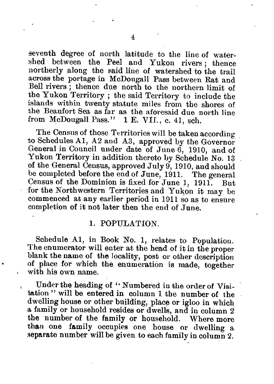seventh degree of north latitude to the line of watershed between the Peel and Yukon rivers ; thence northerly along the said line of watershed to the trail across the portage in McDougall Pass between Rat and Bell rivers ; thence due north to the northern limit of the Yukon Territory; the said Territory to include the islands within twenty statute miles from the shores of the Beaufort Sea as far as the aforesaid due north line from McDougall Pass." 1 E. VIL, c. 41, sch.

The Census of those Territories will be taken according to Schedules Al, A2 and A3, approved by the Governor General in Council uuder date of June 6, 1910, and of Yukon Territory in addition thereto by Schedule No. 13 of the General Census, approved July 9, 1910, and should be completed before the end of June, 1911. The general Census of the Dominion is fixed for June 1, 1911. But for the Northwestern Territories and Yukon it may be commenced at any earlier period in 1911 so as to ensuie completion of it not later then the end of June.

#### 1. POPULATION.

Schedule Al, in Book No. 1, relates to Population. The enumerator will enter at the head of it in the proper blank the name of the locality, post or other description of place for which the enumeration is made, together with his own name.

Under the heading of " Numbered in the order of Visitation" will be entered in column 1 the number of the dwelling house or other building, place or igloo in which a family or household resides or dwells, and in column 2 the number of the family or household. Where more than one family occupies one house or dwelling a separate number will be given to each family in column 2.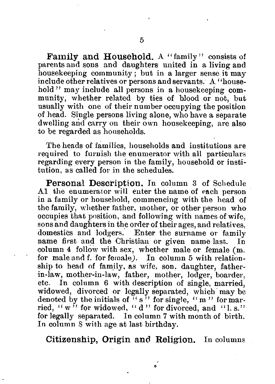Family and Household. A "family" consists of parents and sons and daughters united in a living and house keeping community; but in a larger sense it may include other relatives or persons and servants. A ' 'household " may include all persons in a housekeeping community, whether related by ties of hlood or not, but usually with one of their number occupying the position of head. Single persons living alone, who hâve a separate dwelling and carry on their own housekeeping, are also to be regarded as honseholds.

The heads of families, households and institutions are required to furnish the enumerator with all particulars regarding every person in the family, household or institution, as called for in the schedules.

**Personal Description.** In column 3 of Schedule Al the enumerator will enter the name of each person in a family or household, commencing with the head of the family, whether father, mother, or other person who occupies that position, and following with names of wife, sons and daughters in the order of their âges, and relatives, domestics and lodgers. Enter the sumame or family name first and the Christian or given name last. In column 4 follow with sex, whether maie or female (m. for maie and f. for female). In column 5 with relationship to head of family, as wife, son. daughter, fatherin-law, mother-in-law, father, mother, lodger, boarder, etc. In column 6 with description of single, married, widowed, divorced or legally separated, which may be denoted by the initials of  $(35)$  for single, "m" for married, " $w^{\gamma}$  for widowed, "d" for divorced, and "1. s." for legally separated. In column 7 with month of birth. In column S with âge at last birthday.

**Citizenship, Origin and Religion.** In columns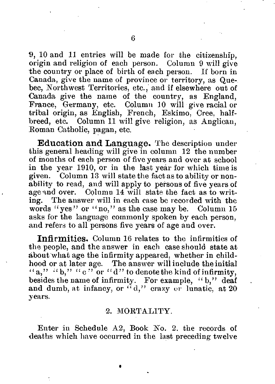9, 10 and 11 entries will be made for the citizenshîp, origin and religion of each person. Column 9 will give the country or place of birth of each person. If born in Canada, give the name of province or territory, as Quebec, Northwest Territories, etc., and if elsewhere out of Canada give the name of the country, as England, France, Germany, etc. Column 10 will give racial or tribal origin, as English, French, Eskimo, Cree, halfbreed, etc. Column 11 will give religion, as Anglican, Roman Catholic, pagan, etc.

Education and Language. The description under this general heading will give in column 12 the number of inonths of each person of five years and over at school in the year 1910, or in the last year for which time is given. Column 13 will state the fact as to ability or nonability to read, and will apply to persons of five years of age and over. Column 14 will state the fact as to writing. The answer will in each case be recorded with the words "yes" or "no," as the case may be. Column 15 asks for the language commonly spoken by each person, and refers to all persons five years of age and over.

**Infirmities.** Column 16 relates to the infirmities of the people, and the answer in each case should state at about what age the infirmity appeared, whether in childhood or at later âge. The answer will include the initial "a,"  $\{a_0, a_1, \ldots, a_n\}$ " or "d" to denote the kind of infirmity, besides the name of infirmity. For example, "b," deaf and dumb, at infancy, or  $"d,"$  crazy or lunatic, at 20 years.

#### 2. MORTALITY.

Enter in Schedule  $A2$ , Book No. 2, the records of deaths which have occurred in the last preceding twelve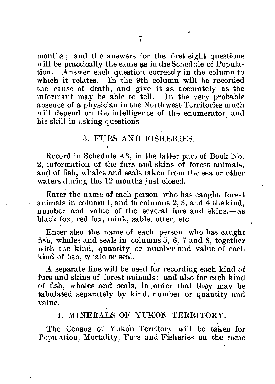months: and the answers for the first eight questions will be practically the same as in the Schedule of Population. Answer each question correctly in the column to which it relates. In the 9th column will be recorded the cause of death, and give it as accurately as the informant may be able to tell. In the very probable absence of a physician in the Northwest Territories much will depend on the intelligence of the enumerator, and his skill in asking questions.

#### 3. FURS AND FISHERIES.

Record in Schedule A3, in the latter part of Book No. 2, information of the furs and skins of forest animais, and of fish, whales and seals taken from the sea or other waters during the 12 months just closed.

Enter the name of each person who has caught forest animais in column 1, and incolùmns 2, 3, and 4 thekind, number and value of the several furs and skins, —as black fox, red fox, mink, sable, otter, etc.

Enter also the nàme of each person who has caught fish, whales and seals in columns 5, 6, 7 and 8, together with the kind, quantity or number and value of each kind of fish, whale or seal.

A separate line will be used for recording each kind of furs and skins of forest animais ; and also for each kind of fish, whales and seals, in order that they may be tabulated separately by kind, number or quantity and value.

#### 4. MINERALS OF YUKON TERRITORY.

The Census of Yukon Territory will be taken for Popu ation, Mortality, Furs and Fisheries on the same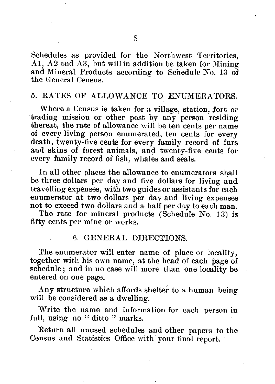Schedules as provided for the Northwest Territories, Al, A2 and A3, but will in addition be taken for Mining and Minerai Products according to Schedule No. 13 of the General Census.

#### 5. RATES OF ALLOWANCE TO ENUMERATORS.

Where a Census is taken for a village, station, .fort or trading mission or other post by any person residing thereat, the rate of allowance will be ten cents per name of every living person enumerated, ten cents for every death, twenty-five cents for every family record of furs and skins of forest animais, and twenty-five cents for every family record of fish, whales and seals.

In ail other places the allowance to enumerators shall be three dollars per day and five dollars for living and travelling expenses, with two guides or assistants for each enumerator at two dollars per day and living expenses not to exceed two dollars and a half per day to each man.

The rate for minerai products (Schedule No. 13) is fifty cents per mine or works.

#### 6. GENERAL DIRECTIONS.

The enumerator will enter name of place or locality, together with his own name, at the head of each page of schedule; and in no case will more than one locality be entered on one page.

Any structure which affords shelter to a human being will be considered as a dwelling.

Write the name and information for each person in full, using no "ditto" marks.

Return ail unused schedules and other papers to the Census and Statistics Office with your final report.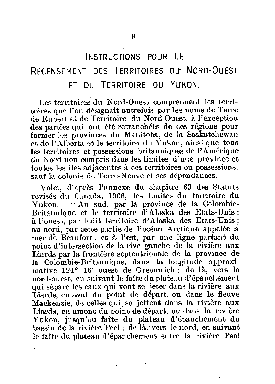### INSTRUCTIONS POUR LE RECENSEMENT DES TERRITOIRES DU NORD-OUEST

#### ET DU TERRITOIRE DU YUKON.

Les territoires du Nord-Ouest comprennent les territoires que l'on désignait autrefois par les noms de Terre de Rupert et de Territoire du Nord-Ouest, à l'exception des parties qui ont été retranchées de ces régions pour former les provinces du Manitoba, de la Saskatchewan et de l'Alberta et le territoire du Yukon, ainsi que tous les territoires et possessions britanniques de l'Amérique du Nord non compris dans les limites d'une province et toutes les îles adjacentes à ces territoires ou possessions, sauf la colonie de Terre-Neuve et ses dépendances.

Voici, d'après l'annexe du chapitre 63 des Statuts revisés du Canada, 1906, les limites du territoire du Yukon. "Au sud, par la province de la Colombie-Britannique et le territoire d'Alaska des Etats-Unis *;*  à l'ouest, par ledit territoire d'Alaska des Etats-Unis ; au nord, par celte partie de l'océan Arctique appelée la mer de Beaufort; et à l'est, par une ligne partant du point d'intersection de la rive gauche de la rivière aux Liards par la frontière septentrionale de la province de la Colombie-Britannique, dans la longitude approximative 124° 16' ouest de Greenwich ; de là, vers le nord-ouest, en suivant le faîte du plateau d'épanchement qui sépare les eaux qui vont se jeter dans la rivière aux Liards, en aval du point de départ, ou dans le fleuve Mackenzie, de celles qui se jettent dans la rivière aux Liards, en amont du point de départ, ou dans la rivière Yukon, jusqu'au faîte du plateau d'épanchement du bassin de la rivière Peel ; de là,'vers le nord, en suivant le faîte du plateau d'épanchement entre la rivière Peel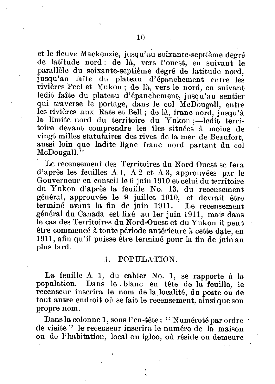et le fleuve Mackenzie, jusqu'au soixante-septième degré de latitude nord ; de là, vers l'ouest, eu suivant le parallèle du soixante-septième degré de latitude nord, jusqu'au faîte du plateau d'épanchement entre les rivières Peel et Yukon ; de là, vers le nord, en suivant ledit faîte du plateau d'épanchement, jusqu'au sentier qui traverse le portage, dans le col McDougall, entre les rivières aux Rats et Bell; de là, franc nord, jusqu'à la limite uord du territoire du Yukon ;—ledit territoire devant comprendre les îles situées à moins de vingt milles statutaires des rives de la mer de Beaufort, aussi loin que ladite ligne franc nord partant du col McDougall."

Le recensement des Territoires du Nord-Ouest se fera d'après les feuilles A 1, A 2 et A 3, approuvées par le Gouverneur en conseil le 6 juin 1910 et celui du territoire du Yukon d'après la feuille No. 13, du recensement général, approuvée le 9 juillet 1910, et devrait être terminé avant la fin de juin 1911. Le recensement général du Canada est fixé au 1er juin 1911, mais dans le cas des Territoires du Nord-Ouest et du Yukon il peut être commencé à toute période antérieure à cette date, en 1911, afin qu'il puisse être terminé pour la fin de juin au plus tard.

#### 1. POPULATION.

La feuille *A.* 1, du cahier No. 1, se rapporte à la population. Dans le . blanc en tête de la feuille, le recenseur inscrira le nom de la localité, du poste ou de tout autre endroit *où* se fait le recensement, ainsi que son propre nom.

Dans la colonne 1, sous l'en-tête: "Numéroté par ordre " de visite" le recenseur inscrira le numéro de la maison ou de l'habitation, local ou igloo, où réside ou demeure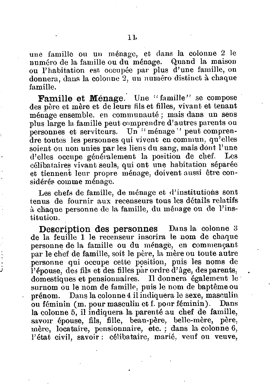une famille ou un ménage, et dans la colonne 2 le numéro de la famille ou du ménage. Quand la maison ou l'habitation esf. occupée par plus d'une famille, on donnera, dans la colonne 2, un numéro distinct à chaque famille.

Famille et Ménage. Une "famille" se compose des père et mère et de leurs fils et filles, vivant et tenant ménage ensemble, en communauté ; mais dans un sens plus large la famille peut comprendre d'autres parents ou personnes et serviteurs. Un "ménage" peut comprendre toutes les personnes qui vivent en commun, qu'elles soient ou non unies par les liens du sang, mais dont l'une d'elles occupe généralement la position de chef. Les célibataires vivant seuls, qui ont une habitation séparée et tiennent leur propre ménage, doivent aussi être considérés comme ménage.

Les chefs de famille, de ménage et d'institutions sont tenus de fournir aux recenseurs tous les détails relatifs à chaque personne de la famille, du ménage ou de l'institution.

**Description des personnes** Dans la colonne 3 de la feuille 1 le recenseur inscrira le nom de chaque personne de la famille ou du ménagé, en commençant par le chef de famille, soit le père, la mère ou toute autre personne qui occupe cette position, puis les noms de l'épouse, *des* fils et des filles par ordre d'âge, des parents, domestiques et pensionnaires. Il donnera également le surnom ou le nom de famille, puis le nom de baptême ou prénom. Dans la colonne 4 il indiquera le sexe, masculin ou féminin (m. pour masculin et f. pour féminin). Dans la colonne 5, il indiquera la parenté au chef de famille, savoir épouse, fils, fille, beau-père, belle-mère, père, mère, locataire, pensionnaire, etc. ; dans la colonne 6, l'état civil, savoir : célibataire, marié, veuf ou veuve,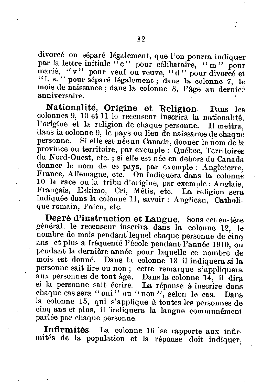divorcé ou séparé légalement, que l'on pourra indiquer par la lettre initiale "c" pour célibataire, "m" pour marié, "v" pour veuf ou veuve, "d" pour divorcé et " 1. s. " pour séparé légalement; dans la colonne 7, le mois de naissance ; dans la colonne 8, l'âge au dernier anniversaire.

**Nationalité, Origine et Religion.** Dans les colonnes 9, 10 et 11 le recenseur inscrira la nationalité, l'origine et la religion de chaque personne. Il mettra, dans la colonne 9, le pays ou lieu de naissance de chaque Si elle est née au Canada, donner le nom de la province ou territoire, par exemple : Québec, Territoires du Nord-Ouest, etc. ; si elle est née en dehors du Canada donner le nom de ce pays, par exemple : Angleterre, France, Allemagne, etc. On indiquera dans la colonne 10 la race ou la tribu d'origine, par exemple : Anglais, Français, Eskimo, Cri, Métis, etc. La religion sera indiquée dans la colonne 11, savoir : Anglican. Catholique romain. Païen, etc.

**Degré d'instruction et Langue.** Sous cet en-tête général, le recenseur inscrira, dans la colonne 12, le nombre de mois pendant lequel chaque personne de cinq ans et plus a fréquenté l'école pendant l'année 1910, ou pendant la dernière année pour laquelle ce nombre de mois est donné. Dans la colonne 13 il indiquera si la personne sait lire ou non ; cette remarque s'appliquera aux personnes de tout âge. Dans la colonne 14, il dira si la personne sait écrire. La réponse à inscrire dans chaque cas sera " oui" ou " non ", selon le cas. Dans la colonne 15, qui s'applique à toutes les personnes de cinq ans et plus, il indiquera la langue communément parlée par chaque personne.

**Infirmités.** La colonne 16 se rapporte aux infirmités de la population et la réponse doit indiquer,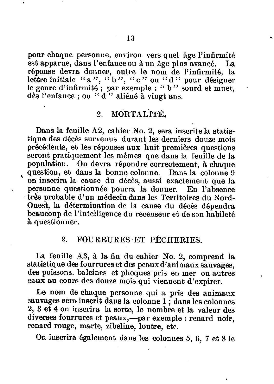pour chaque personne, environ vers quel âge l'infirmité est apparue, dans l'enfance ou à un âge plus avancé. La réponse devra donner, outre le nom de l'infirmité,' la lettre initiale "a", "b", "c" ou "d" pour désigner le genre d'infirmité ; par exemple : " b " sourd et muet, dès l'enfance ; ou " d'" aliéné à vingt ans.

#### 2. MORTALITÉ.

Dans la feuille A2, cahier No. 2, sera inscrite la statistique des décès survenus durant les derniers douze mois précédents, et les réponses aux huit premières questions seront pratiquement les mêmes que dans la feuille de la population. On devra répondre correctement, à chaque question, et dans la bonne colonne. Dans la colonne 9 on inscrira la cause du décès, aussi exactement que la personne questionnée pourra la donner. En l'absence très probable d'un médecin dans les Territoires du Nord-Ouest, la détermination de la cause du décès dépendra beaucoup de l'intelligence du recenseur et de son habileté à questionner.

#### 3. FOURRURES ET PÊCHERIES.

La feuille A3, à la fin du cahier No. 2, comprend la statistique des fourrures et des peaux d'animaux sauvages, des poissons, baleines et phoques pris en mer ou autres eaux au cours des douze mois qui viennent d'expirer.

Le nom de chaque personne qui a pris des animaux sauvages sera inscrit dans la colonne 1 ; dans les colonnes 2, 3 et 4 on inscrira la sorte, le nombre et la valeur des diverses fourrures et peaux,—par exemple : renard noir, renard rouge, marte, zibeline, loutre, etc.

On inscrira également dans les colonnes 5, 6, 7 et 8 le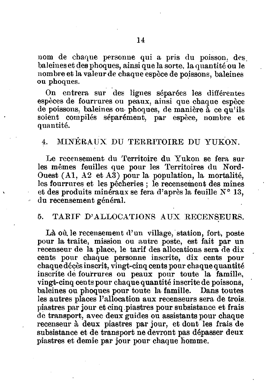nom de chaque personne qui a pris du poisson, des. baleines et des phoques, ainsi que la sorte, la quantité ou le nombre et la valeur de chaque espèce de poissons, baleines ou phoques.

On entrera sur des lignes séparées les différentes espèces de fourrures ou peaux, ainsi que chaque espèce de poissons, baleines ou. phoques, de manière à ce qu'ils soient compilés séparément, par espèce, nombre et quantité.

#### 4. MINÉRAUX DU TERRITOIRE DU YUKON.

Le recensement du Territoire du Yukon se fera sur les mêmes feuilles que pour les Territoires du Nord-Ouest (Al, A2 et A3) pour la population, la mortalité, les fourrures et les pêcheries ; le recensement des mines et des produits minéraux se fera d'après la feuille N° 13, du recensement général.

#### 5. TARIF D'ALLOCATIONS AUX RECENSEURS.

Là où. le recensement d'un village, station, fort, poste pour la traite, mission ou autre poste, est fait par un recenseur de la place, le tarif des allocations sera de dix cents pour chaque personne inscrite, dix cents pour chaque décès inscrit, vingt-cinq cents pour chaque quantité inscrite dé fourrures ou peaux pour toute la famille, vingt-cinq cents pour chaque quantité inscrite de poissons, baleines ou phoques pour toute la famille. Dans toutes les autres places l'allocation aux recenseurs sera de trois piastres par jour et cinq piastres pour subsistance et frais de transport, avec deux guides ou assistants pour chaque recenseur à deux piastres par jour, et dont les frais de subsistance et de transport ne devront pas dépasser deux piastres et demie par jour pour chaque homme.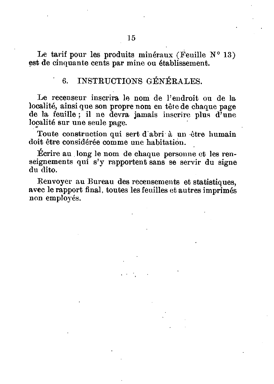Le tarif pour les produits minéraux (Feuille  $N^{\circ}$  13) est de cinquante cents par mine ou établissement.

#### 6. INSTRUCTIONS GÉNÉRALES.

Le recenseur inscrira le nom de l'endroit ou de la localité, ainsi que son propre nom en tête de chaque page de la feuille ; il ne devra jamais inscrire plus d'une localité sur une seule page.

Toute construction qui sert d abri à un être humain doit être considérée comme une habitation.

Écrire au . long le nom de chaque personne et les renseignements qui s'y rapportent sans se servir du signe du dito.

Renvoyer au Bureau des recensements et statistiques, avec le rapport final, toutes les feuilles et autres imprimés non employés.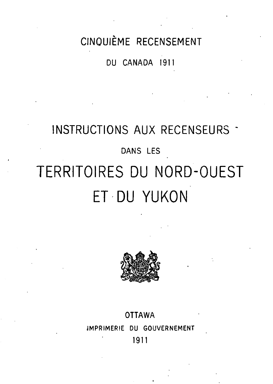### CINQUIÈME RECENSEMENT

DU CANADA 1911

## INSTRUCTIONS AUX RECENSEURS -DANS LES TERRITOIRES DU NORD-OUEST ET DU YUKON



#### **OTTAWA**

IMPRIMERIE DU GOUVERNEMENT

1911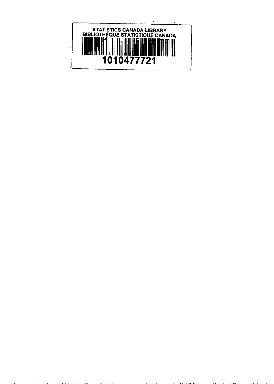